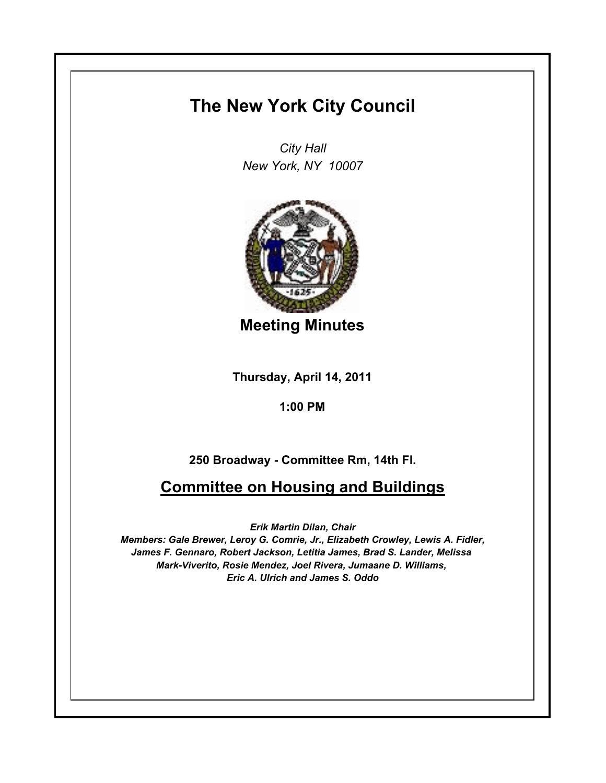## **The New York City Council**

*City Hall New York, NY 10007*



**Meeting Minutes**

**Thursday, April 14, 2011**

**1:00 PM**

## **250 Broadway - Committee Rm, 14th Fl.**

## **Committee on Housing and Buildings**

*Erik Martin Dilan, Chair*

*Members: Gale Brewer, Leroy G. Comrie, Jr., Elizabeth Crowley, Lewis A. Fidler, James F. Gennaro, Robert Jackson, Letitia James, Brad S. Lander, Melissa Mark-Viverito, Rosie Mendez, Joel Rivera, Jumaane D. Williams, Eric A. Ulrich and James S. Oddo*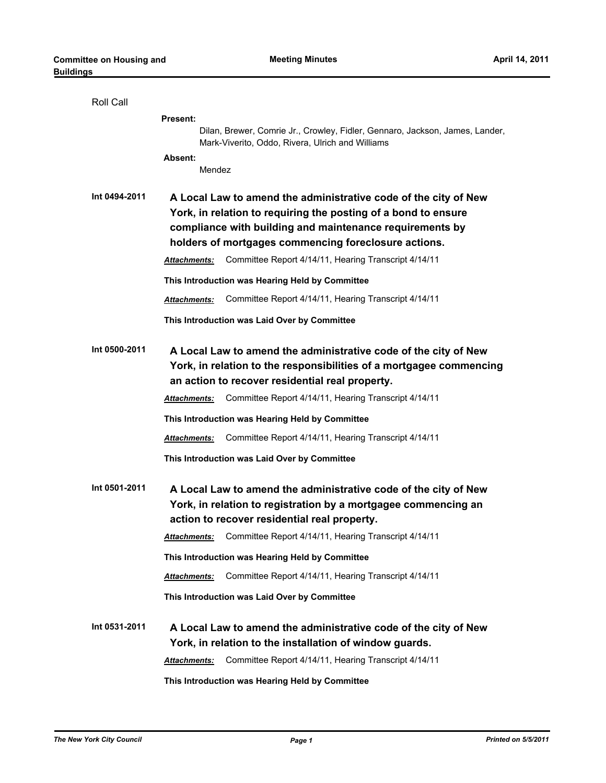| Roll Call     |                                                                                                                                                                                                                                                                                                                               |
|---------------|-------------------------------------------------------------------------------------------------------------------------------------------------------------------------------------------------------------------------------------------------------------------------------------------------------------------------------|
|               | <b>Present:</b>                                                                                                                                                                                                                                                                                                               |
|               | Dilan, Brewer, Comrie Jr., Crowley, Fidler, Gennaro, Jackson, James, Lander,<br>Mark-Viverito, Oddo, Rivera, Ulrich and Williams                                                                                                                                                                                              |
|               | Absent:                                                                                                                                                                                                                                                                                                                       |
|               | Mendez                                                                                                                                                                                                                                                                                                                        |
| Int 0494-2011 | A Local Law to amend the administrative code of the city of New<br>York, in relation to requiring the posting of a bond to ensure<br>compliance with building and maintenance requirements by<br>holders of mortgages commencing foreclosure actions.<br>Committee Report 4/14/11, Hearing Transcript 4/14/11<br>Attachments: |
|               | This Introduction was Hearing Held by Committee                                                                                                                                                                                                                                                                               |
|               | Committee Report 4/14/11, Hearing Transcript 4/14/11<br><b>Attachments:</b>                                                                                                                                                                                                                                                   |
|               |                                                                                                                                                                                                                                                                                                                               |
|               | This Introduction was Laid Over by Committee                                                                                                                                                                                                                                                                                  |
| Int 0500-2011 | A Local Law to amend the administrative code of the city of New<br>York, in relation to the responsibilities of a mortgagee commencing<br>an action to recover residential real property.                                                                                                                                     |
|               | Committee Report 4/14/11, Hearing Transcript 4/14/11<br><b>Attachments:</b>                                                                                                                                                                                                                                                   |
|               | This Introduction was Hearing Held by Committee                                                                                                                                                                                                                                                                               |
|               | Committee Report 4/14/11, Hearing Transcript 4/14/11<br><b>Attachments:</b>                                                                                                                                                                                                                                                   |
|               | This Introduction was Laid Over by Committee                                                                                                                                                                                                                                                                                  |
| Int 0501-2011 | A Local Law to amend the administrative code of the city of New<br>York, in relation to registration by a mortgagee commencing an<br>action to recover residential real property.                                                                                                                                             |
|               | Committee Report 4/14/11, Hearing Transcript 4/14/11<br><b>Attachments:</b>                                                                                                                                                                                                                                                   |
|               | This Introduction was Hearing Held by Committee                                                                                                                                                                                                                                                                               |
|               | Committee Report 4/14/11, Hearing Transcript 4/14/11<br><b>Attachments:</b>                                                                                                                                                                                                                                                   |
|               | This Introduction was Laid Over by Committee                                                                                                                                                                                                                                                                                  |
| Int 0531-2011 | A Local Law to amend the administrative code of the city of New<br>York, in relation to the installation of window guards.                                                                                                                                                                                                    |
|               | Committee Report 4/14/11, Hearing Transcript 4/14/11<br><b>Attachments:</b>                                                                                                                                                                                                                                                   |
|               | This Introduction was Hearing Held by Committee                                                                                                                                                                                                                                                                               |